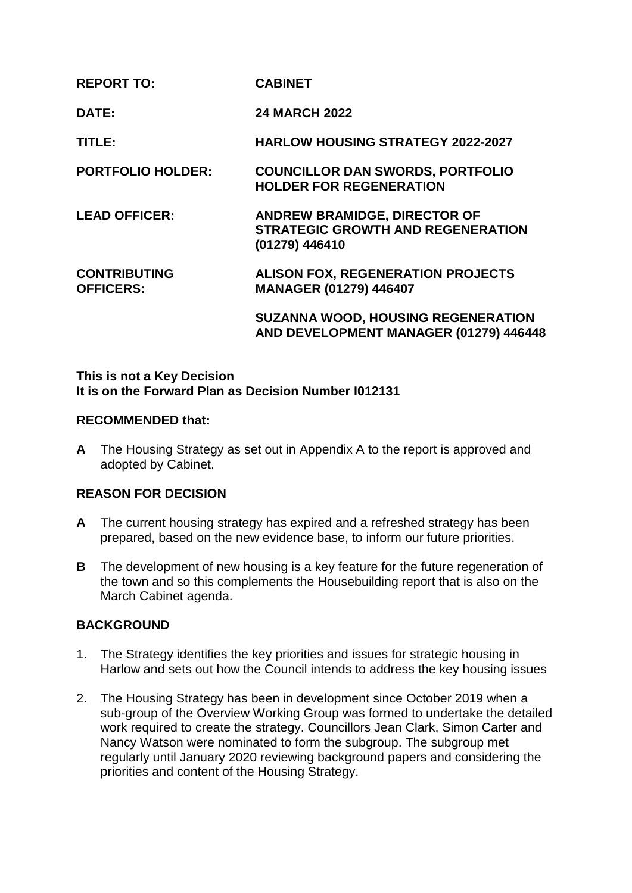| <b>REPORT TO:</b>                       | <b>CABINET</b>                                                                                    |
|-----------------------------------------|---------------------------------------------------------------------------------------------------|
| DATE:                                   | <b>24 MARCH 2022</b>                                                                              |
| TITLE:                                  | <b>HARLOW HOUSING STRATEGY 2022-2027</b>                                                          |
| <b>PORTFOLIO HOLDER:</b>                | <b>COUNCILLOR DAN SWORDS, PORTFOLIO</b><br><b>HOLDER FOR REGENERATION</b>                         |
| <b>LEAD OFFICER:</b>                    | <b>ANDREW BRAMIDGE, DIRECTOR OF</b><br><b>STRATEGIC GROWTH AND REGENERATION</b><br>(01279) 446410 |
| <b>CONTRIBUTING</b><br><b>OFFICERS:</b> | <b>ALISON FOX, REGENERATION PROJECTS</b><br><b>MANAGER (01279) 446407</b>                         |
|                                         | <b>SUZANNA WOOD, HOUSING REGENERATION</b><br>AND DEVELOPMENT MANAGER (01279) 446448               |

## **This is not a Key Decision It is on the Forward Plan as Decision Number I012131**

### **RECOMMENDED that:**

**A** The Housing Strategy as set out in Appendix A to the report is approved and adopted by Cabinet.

# **REASON FOR DECISION**

- **A** The current housing strategy has expired and a refreshed strategy has been prepared, based on the new evidence base, to inform our future priorities.
- **B** The development of new housing is a key feature for the future regeneration of the town and so this complements the Housebuilding report that is also on the March Cabinet agenda.

# **BACKGROUND**

- 1. The Strategy identifies the key priorities and issues for strategic housing in Harlow and sets out how the Council intends to address the key housing issues
- 2. The Housing Strategy has been in development since October 2019 when a sub-group of the Overview Working Group was formed to undertake the detailed work required to create the strategy. Councillors Jean Clark, Simon Carter and Nancy Watson were nominated to form the subgroup. The subgroup met regularly until January 2020 reviewing background papers and considering the priorities and content of the Housing Strategy.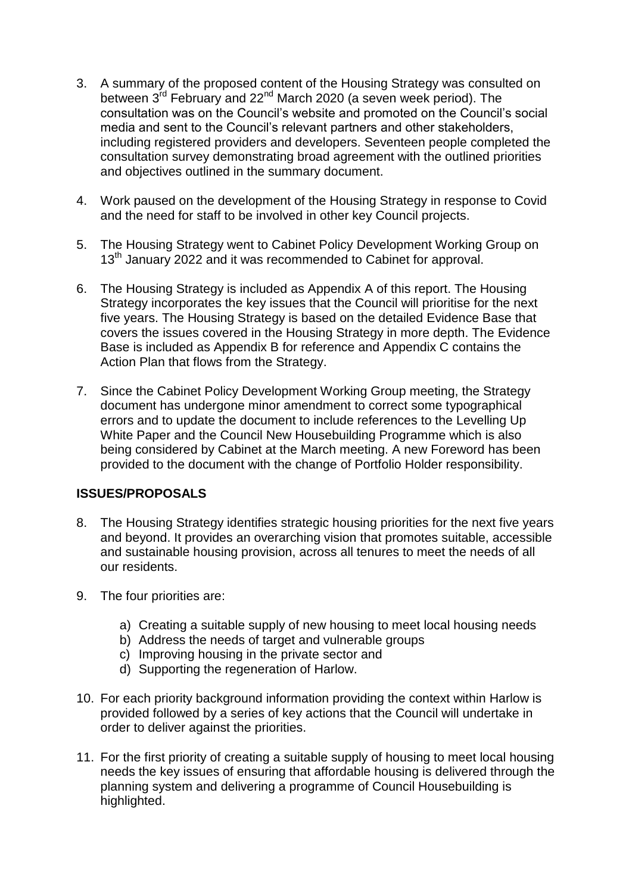- 3. A summary of the proposed content of the Housing Strategy was consulted on between 3<sup>rd</sup> February and 22<sup>nd</sup> March 2020 (a seven week period). The consultation was on the Council's website and promoted on the Council's social media and sent to the Council's relevant partners and other stakeholders, including registered providers and developers. Seventeen people completed the consultation survey demonstrating broad agreement with the outlined priorities and objectives outlined in the summary document.
- 4. Work paused on the development of the Housing Strategy in response to Covid and the need for staff to be involved in other key Council projects.
- 5. The Housing Strategy went to Cabinet Policy Development Working Group on 13<sup>th</sup> January 2022 and it was recommended to Cabinet for approval.
- 6. The Housing Strategy is included as Appendix A of this report. The Housing Strategy incorporates the key issues that the Council will prioritise for the next five years. The Housing Strategy is based on the detailed Evidence Base that covers the issues covered in the Housing Strategy in more depth. The Evidence Base is included as Appendix B for reference and Appendix C contains the Action Plan that flows from the Strategy.
- 7. Since the Cabinet Policy Development Working Group meeting, the Strategy document has undergone minor amendment to correct some typographical errors and to update the document to include references to the Levelling Up White Paper and the Council New Housebuilding Programme which is also being considered by Cabinet at the March meeting. A new Foreword has been provided to the document with the change of Portfolio Holder responsibility.

# **ISSUES/PROPOSALS**

- 8. The Housing Strategy identifies strategic housing priorities for the next five years and beyond. It provides an overarching vision that promotes suitable, accessible and sustainable housing provision, across all tenures to meet the needs of all our residents.
- 9. The four priorities are:
	- a) Creating a suitable supply of new housing to meet local housing needs
	- b) Address the needs of target and vulnerable groups
	- c) Improving housing in the private sector and
	- d) Supporting the regeneration of Harlow.
- 10. For each priority background information providing the context within Harlow is provided followed by a series of key actions that the Council will undertake in order to deliver against the priorities.
- 11. For the first priority of creating a suitable supply of housing to meet local housing needs the key issues of ensuring that affordable housing is delivered through the planning system and delivering a programme of Council Housebuilding is highlighted.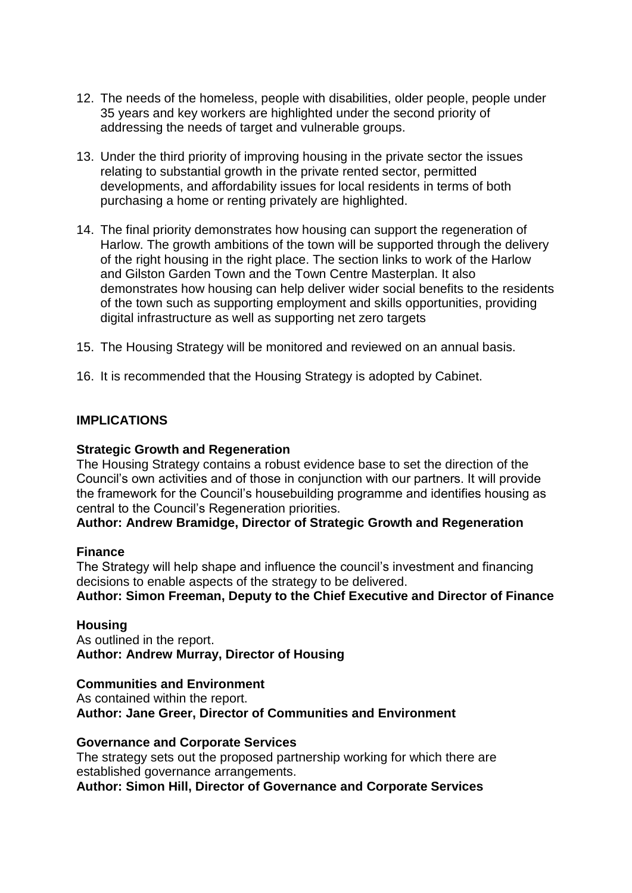- 12. The needs of the homeless, people with disabilities, older people, people under 35 years and key workers are highlighted under the second priority of addressing the needs of target and vulnerable groups.
- 13. Under the third priority of improving housing in the private sector the issues relating to substantial growth in the private rented sector, permitted developments, and affordability issues for local residents in terms of both purchasing a home or renting privately are highlighted.
- 14. The final priority demonstrates how housing can support the regeneration of Harlow. The growth ambitions of the town will be supported through the delivery of the right housing in the right place. The section links to work of the Harlow and Gilston Garden Town and the Town Centre Masterplan. It also demonstrates how housing can help deliver wider social benefits to the residents of the town such as supporting employment and skills opportunities, providing digital infrastructure as well as supporting net zero targets
- 15. The Housing Strategy will be monitored and reviewed on an annual basis.
- 16. It is recommended that the Housing Strategy is adopted by Cabinet.

### **IMPLICATIONS**

#### **Strategic Growth and Regeneration**

The Housing Strategy contains a robust evidence base to set the direction of the Council's own activities and of those in conjunction with our partners. It will provide the framework for the Council's housebuilding programme and identifies housing as central to the Council's Regeneration priorities.

#### **Author: Andrew Bramidge, Director of Strategic Growth and Regeneration**

#### **Finance**

The Strategy will help shape and influence the council's investment and financing decisions to enable aspects of the strategy to be delivered.

## **Author: Simon Freeman, Deputy to the Chief Executive and Director of Finance**

#### **Housing**

As outlined in the report. **Author: Andrew Murray, Director of Housing** 

# **Communities and Environment**

As contained within the report. **Author: Jane Greer, Director of Communities and Environment**

#### **Governance and Corporate Services**

The strategy sets out the proposed partnership working for which there are established governance arrangements.

**Author: Simon Hill, Director of Governance and Corporate Services**